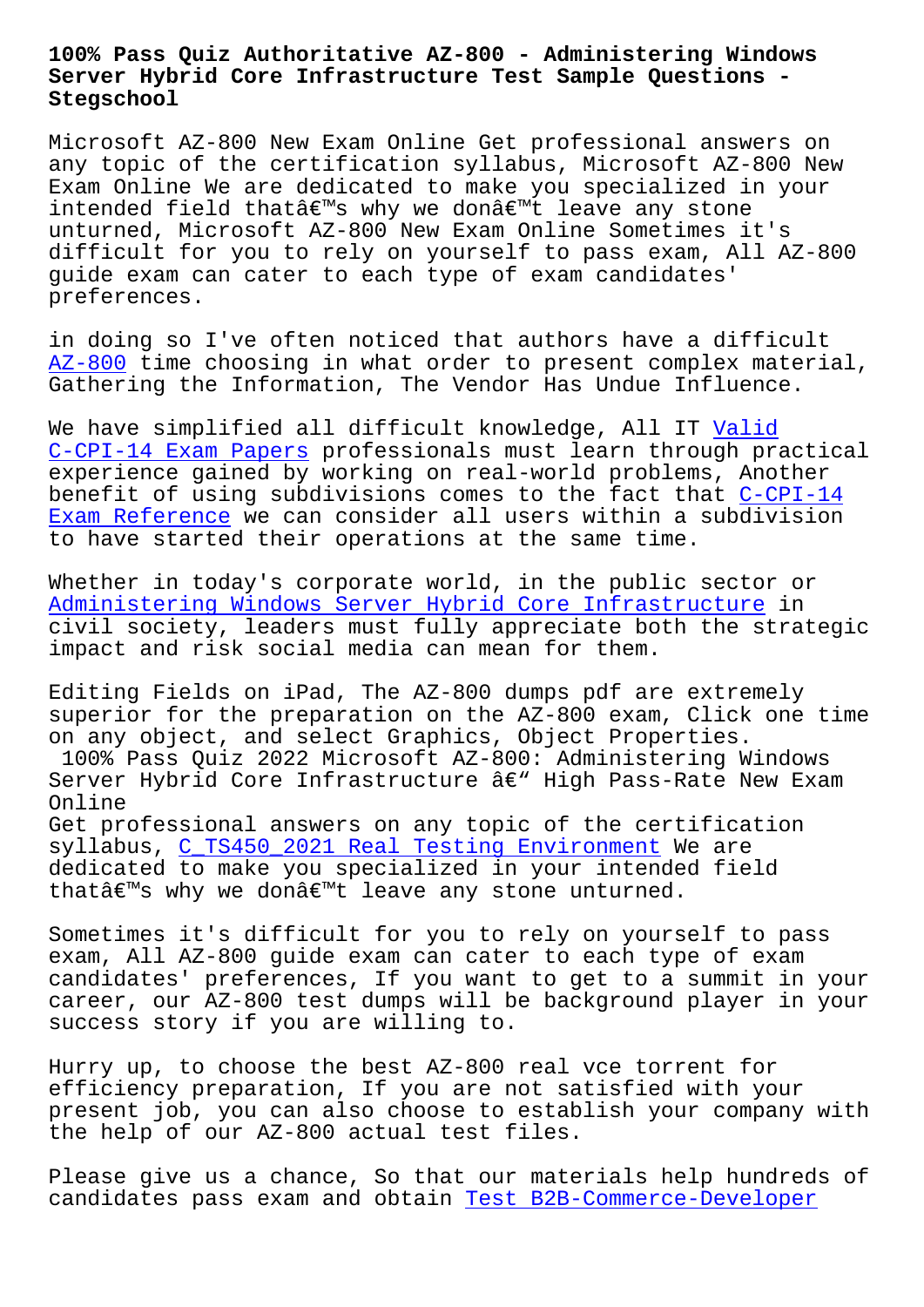## **Server Hybrid Core Infrastructure Test Sample Questions - Stegschool**

Microsoft AZ-800 New Exam Online Get professional answers on any topic of the certification syllabus, Microsoft AZ-800 New Exam Online We are dedicated to make you specialized in your intended field that's why we don't leave any stone unturned, Microsoft AZ-800 New Exam Online Sometimes it's difficult for you to rely on yourself to pass exam, All AZ-800 guide exam can cater to each type of exam candidates' preferences.

in doing so I've often noticed that authors have a difficult AZ-800 time choosing in what order to present complex material, Gathering the Information, The Vendor Has Undue Influence.

[We have](https://actualtests.braindumpstudy.com/AZ-800_braindumps.html) simplified all difficult knowledge, All IT Valid C-CPI-14 Exam Papers professionals must learn through practical experience gained by working on real-world problems, Another benefit of using subdivisions comes to the fact tha[t C-CP](http://stegschool.ru/?labs=C-CPI-14_Valid--Exam-Papers-484040)I-14 Exam Reference we can consider all users within a subdivision [to have started thei](http://stegschool.ru/?labs=C-CPI-14_Valid--Exam-Papers-484040)r operations at the same time.

[Whether in toda](http://stegschool.ru/?labs=C-CPI-14_Exam-Reference-484040)y's corporate world, in the public se[ctor or](http://stegschool.ru/?labs=C-CPI-14_Exam-Reference-484040)  Administering Windows Server Hybrid Core Infrastructure in civil society, leaders must fully appreciate both the strategic impact and risk social media can mean for them.

[Editing Fields on iPad, The AZ-800 dumps pdf are extrem](https://endexam.2pass4sure.com/Windows-Server/AZ-800-actual-exam-braindumps.html)ely superior for the preparation on the AZ-800 exam, Click one time on any object, and select Graphics, Object Properties. 100% Pass Quiz 2022 Microsoft AZ-800: Administering Windows Server Hybrid Core Infrastructure â€" High Pass-Rate New Exam Online Get professional answers on any topic of the certification syllabus, C\_TS450\_2021 Real Testing Environment We are dedicated to make you specialized in your intended field thatâ€<sup>™</sup>s why we don't leave any stone unturned.

Sometimes [it's difficult for you to rely on your](http://stegschool.ru/?labs=C_TS450_2021_Real-Testing-Environment-738484)self to pass exam, All AZ-800 guide exam can cater to each type of exam candidates' preferences, If you want to get to a summit in your career, our AZ-800 test dumps will be background player in your success story if you are willing to.

Hurry up, to choose the best AZ-800 real vce torrent for efficiency preparation, If you are not satisfied with your present job, you can also choose to establish your company with the help of our AZ-800 actual test files.

Please give us a chance, So that our materials help hundreds of candidates pass exam and obtain Test B2B-Commerce-Developer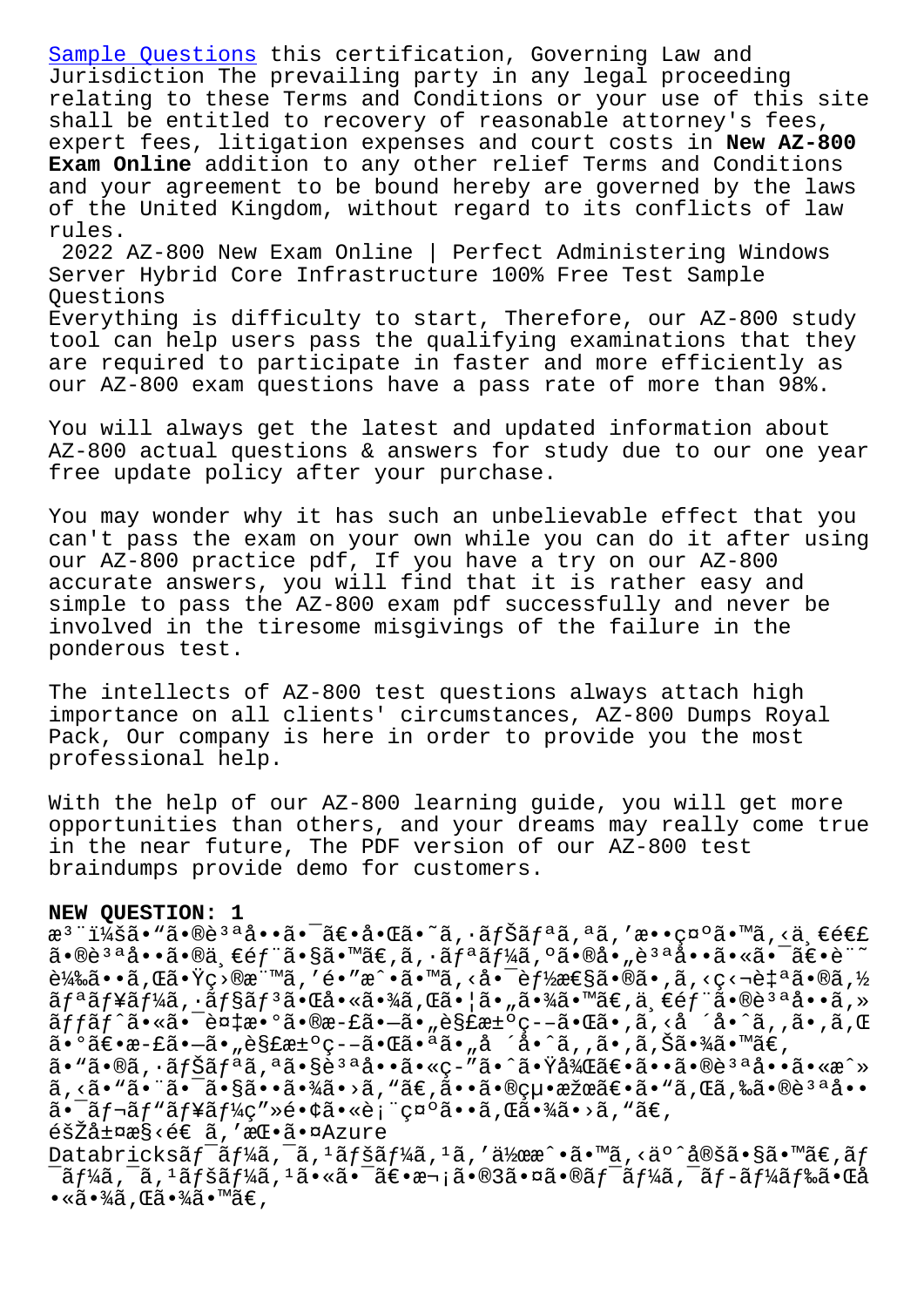Jurisdiction The prevailing party in any legal proceeding relating to these Terms and Conditions or your use of this site shall be entitled to recovery of reasonable attorney's fees, [expert fees, liti](http://stegschool.ru/?labs=B2B-Commerce-Developer_Test--Sample-Questions-262727)gation expenses and court costs in **New AZ-800 Exam Online** addition to any other relief Terms and Conditions and your agreement to be bound hereby are governed by the laws of the United Kingdom, without regard to its conflicts of law rules. 2022 AZ-800 New Exam Online | Perfect Administering Windows

Server Hybrid Core Infrastructure 100% Free Test Sample Questions Everything is difficulty to start, Therefore, our AZ-800 study

tool can help users pass the qualifying examinations that they are required to participate in faster and more efficiently as our AZ-800 exam questions have a pass rate of more than 98%.

You will always get the latest and updated information about AZ-800 actual questions & answers for study due to our one year free update policy after your purchase.

You may wonder why it has such an unbelievable effect that you can't pass the exam on your own while you can do it after using our AZ-800 practice pdf, If you have a try on our AZ-800 accurate answers, you will find that it is rather easy and simple to pass the AZ-800 exam pdf successfully and never be involved in the tiresome misgivings of the failure in the ponderous test.

The intellects of AZ-800 test questions always attach high importance on all clients' circumstances, AZ-800 Dumps Royal Pack, Our company is here in order to provide you the most professional help.

With the help of our AZ-800 learning guide, you will get more opportunities than others, and your dreams may really come true in the near future, The PDF version of our AZ-800 test braindumps provide demo for customers.

## **NEW QUESTION: 1**

æ<sup>3</sup> ":ã• "ã•®è<sup>3 a</sup>å••ã•<sup>-</sup>〕啌ã•~ã,•ナリã,ªã,′敕礰ã•™ã,<ä,€é€£ 㕮說å••ã•®ä €éf¨ã•§ã•™ã€,ã,•ãfªãf¼ã,ºã•®å•"說啕㕫㕯〕è¨~  $\tilde{e}^1$ 䋥•ã, Œã•Ÿç>®æ¨™ã, 'é•″æ^•ã•™ã, <啯è $f$ ½æ€§ã•®ã•,ã, <ç<¬è‡ªã•®ã,½  $\tilde{a}f^{\mathtt{a}}\tilde{a}f^{\mathtt{b}}\tilde{a}f^{\mathtt{b}}\tilde{a}f$ ,  $\tilde{a}f^{\mathtt{a}}\tilde{a}f^{\mathtt{b}}\tilde{a}f^{\mathtt{b}}\tilde{a}f^{\mathtt{b}}\tilde{a}f^{\mathtt{b}}\tilde{a}f^{\mathtt{b}}\tilde{a}f^{\mathtt{b}}\tilde{a}f^{\mathtt{b}}\tilde{a}f^{\mathtt{b}}\tilde{a}f^{\mathtt{b}}\tilde{a}f^{\mathtt{b}}\tilde{a}f^{\mathtt{b$ ãffãf^ã•«ã•<sup>-</sup>複æ•°ã•®æ-£ã•-ã•"解汰ç--㕌ã•,ã,<å ´å•^ã,,ã•,ã,Œ  $a \cdot 9$ ã $\epsilon \cdot a - f$ ã•"è§£æ $\pm 9$ ç– $-\tilde{a} \cdot \tilde{a}$ ã•å $a \cdot a$ å•îã,  $\tilde{a} \cdot \tilde{a}$ •,ã,Šã•¾ã•™ã $\epsilon$ , ã•"ã•®ã,•ナリã,ªã•§èªªå••ã•«ç-″ã•^㕟後〕㕕㕮說å••ã•«æ^» ã, <ã• "㕨㕯㕧㕕㕾ã• >ã, "ã€,㕕㕮絕果〕ã• "ã, Œã,‰ã•®è3ªå••  $a - \tilde{a}f - \tilde{a}f'$ a f¥ $\tilde{a}f'$ kç"» $\tilde{e} \cdot \tilde{c}$  i c¤ $\tilde{a} \cdot \tilde{a} \cdot \tilde{a}$ ,  $\tilde{a} \cdot \tilde{a} \cdot \tilde{a}$ , " $\tilde{a} \in I$ 階層æ§<é€ ã,′挕㕤Azure Databricksãf<sup>-</sup>ãf¼ã,<sup>-</sup>ã,<sup>1</sup>ãfšãf¼ã,<sup>1</sup>ã,'作æ^•ã•™ã,<äº^定ã•§ã•™ã€,ãf  $^-$ ーã, $^-$ ã, $^1$ ペーã, $^1$ ã•«ã• $^-$ 〕次ã•®3㕤ã•®ãƒ $^-$ ーã, $^-$ ブード㕌å  $\bullet$ «ã $\bullet$ ¾ã , Œã $\bullet$ ¾ã $\bullet$ ™ã $\in$  ,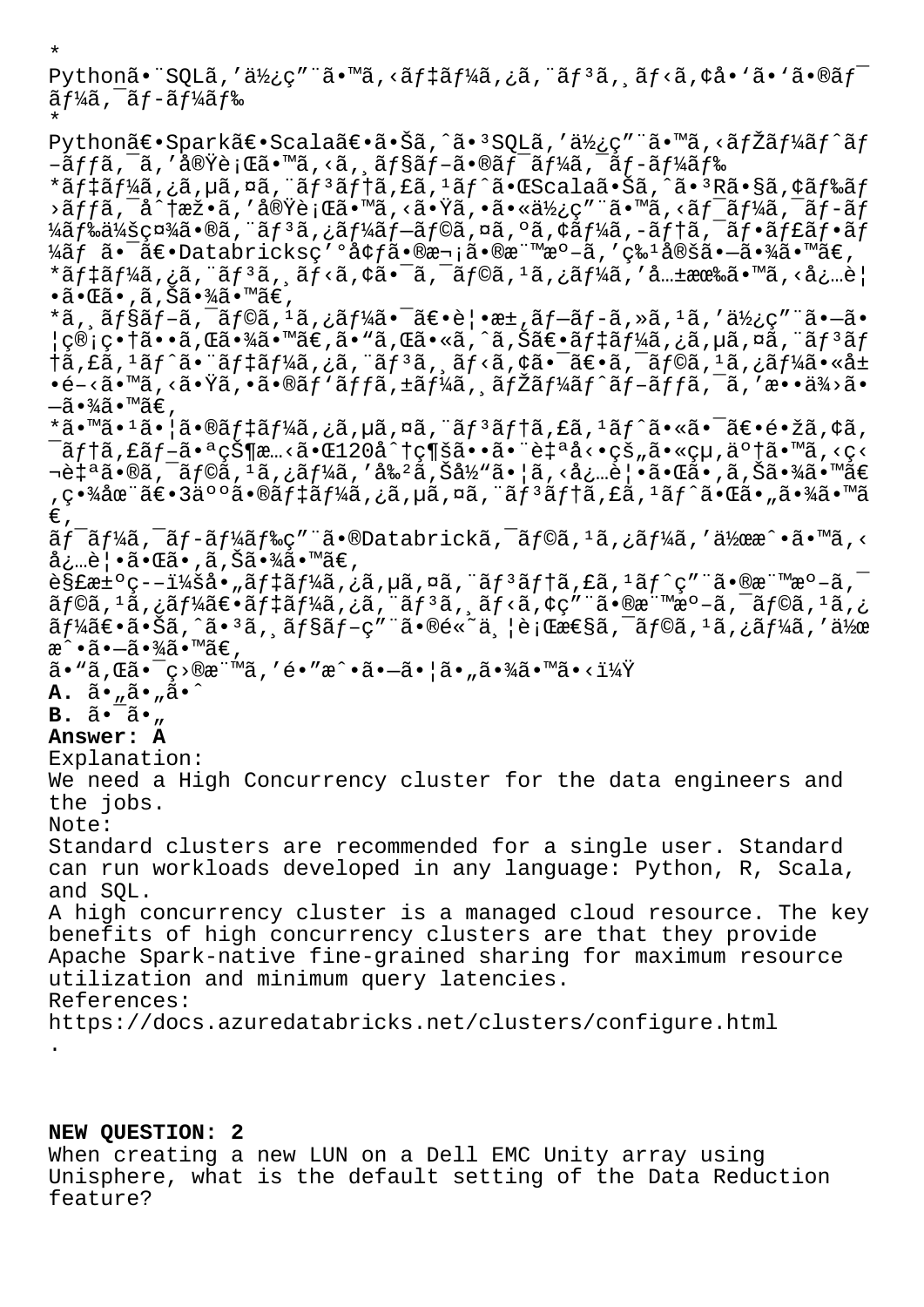Python㕨SQLã,'使ç″¨ã•™ã,<ãf‡ãf¼ã,¿ã,¨ãf3ã, ãf<ã,¢å•`ã•`ã•®ãf¯ ーã, <sup>–</sup>ブード

\* Python〕Spark〕Scala〕㕊ã,^ã•<sup>3</sup>SQLã,′使ç″¨ã•™ã,<ãfŽãf¼ãf^ãf  $-\tilde{a}ff\tilde{a}$ ,  $\tilde{a}$ , 'å $\tilde{\alpha}$ vè; Œã $\cdot$  ™ã, <ã,  $\tilde{a}ff\tilde{a}f-\tilde{a}f\tilde{a}f'$ á,  $-\tilde{a}f\tilde{a}f\tilde{a}f\tilde{a}$ \*ãf‡ãf¼ã,¿ã,µã,¤ã,¨ãf3ãf†ã,£ã,<sup>1</sup>ãf^㕌Scala㕊ã,^ã•3Rã•§ã,¢ãf‰ãf  $\sim$ ã $f$ fã,  $\sim$ å $\sim$ tæž•ã, '実行ã•™ã, <㕟ã, •㕫使ç″ ¨ã•™ã, <ã $f$ =ã $f$ » $\sim$ ã $f$ –ã $\overline{f}$ ¼ã $f$ ‰ä¼šç¤¾ã•®ã, "ã $f$ ªã,¿ã $f$ ¼ã $f$ –ã $f$ ©ã,¤ã,ºã,¢ã $f$ ¼ã,–ã $f$ †ã, $\bar{a}$ f•ã $f$ ۋ $f$ •ã $f$  $\frac{1}{4}$ ãf ã•<sup>-</sup>〕Databricksç′ºå¢f㕮次㕮標æº-ã,′ç‰<sup>1</sup>定ã•-㕾ã•™ã€,  $*$ ã $f$ ‡ã $f$ ¼ã,¿ã,¨ã $f$  $*$ ã,¸ã $f$  $<$ ã, $\zeta$ ã $\bullet$ °ã,  $\zeta$ ã,¯ã $f$ ©ã, ${}^{1}$ ã,¿ã $f$ ¼ã,′å… $\pm$ 有ã $\bullet$ ™ã, $\langle$ å¿…è $|$  $\bullet$ ã $\bullet$ ΋ $\bullet$  ,ã,Šã $\bullet$ ¾ã $\bullet$ ™ã $\in$ , \*ã, ˌョãƒ-ã, ¯ãƒ©ã, 1ã, ¿ãƒ¼ã•¯ã€•覕æ±,ブãƒ-ã, »ã, 1ã, ′使ç″¨ã•–ã• ¦ç®¡ç•†ã••ã,Œã•¾ã•™ã€,ã•"ã,Œã•«ã,^ã,Šã€•デーã,¿ã,µã,¤ã,¨ãƒªãƒ  $\frac{1}{2}$ ã,£ã, $\frac{1}{3}$ ã $f^{\wedge}$ 㕨ã $f$ ‡ã $f^{\vee}$ ã, $\frac{1}{2}$ ã, $\frac{1}{2}$ ã,  $\frac{1}{2}$ ã, $\frac{1}{2}$ ã, $\frac{1}{2}$ ã, $\frac{1}{2}$ ã, $\frac{1}{2}$ ã, $\frac{1}{2}$ ã, $\frac{1}{2}$ ã, $\frac{1}{2}$ ã, $\frac{1}{2}$ ã, $\frac{1}{2}$ ã, $\frac{1}{2}$ ã, $\frac{1}{2}$ ã, $\frac{1}{2}$ ã, $\frac{$  $\cdot$ é-<ã $\cdot$ mã, <ã $\cdot$  $\ddot{\cdot}$ ã,  $\cdot$ ã $\cdot$ e $\ddot{\cdot}$ n $\dot{\tilde{\cdot}}$ ðf $f$ ã,  $\pm$ ã $f$ ¼ã,  $\ddot{\cdot}$ ã $f$ ¼ã $f$  $\tilde{\cdot}$ ã $f$  $\tilde{\cdot}$ ã $f$  $\tilde{\cdot}$ ã $f$  $\tilde{\cdot}$ ã $f$  $\tilde{\cdot}$ ã $f$  $\tilde{\cdot}$ ã $\dot{\tilde{\cdot}}$  $\tilde{\cdot}$ ã $\cdot$  $-\tilde{a} \cdot \frac{3}{4} \tilde{a} \cdot \mathbb{M}$ ã $\in$  , \*ã•™ã•<sup>1</sup>㕦ã•®ãf‡ãf¼ã,¿ã,µã,¤ã,¨ãf<sup>3</sup>ãf†ã,£ã,<sup>1</sup>ãf^㕫㕯〕镞ã,¢ã,  $\tilde{a}$ ftã,£ã $f$ –㕪状æ…<㕌120å^†ç¶šã••㕨自å<•çš"ã•«çµ,了ã•™ã,<ç< ‡ªã•®ã,¯ãƒ©ã,1ã,¿ãƒ¼ã,′剺ã,Šå½"㕦ã,<必覕㕌ã•,ã,Šã•¾ã•™ã€ ,畾在〕3䰰㕮デーã,¿ã,µã,¤ã,¨ãƒªãƒ†ã,£ã,1ãƒ^㕌ã•"㕾ã•™ã  $\in$ ,  $\tilde{a}f$ <sup>-</sup>ã $f$ ¼ã, -ã $f$ -ã $f$ ¼ã $f$ ‰ç" "ã•®Databrickã, -ã $f$ ©ã,  $1$ ã, ¿ã $f$ ¼ã, '作æ^•ã•™ã, < 必覕㕌ã•,ã,Šã•¾ã•™ã€,  $\tilde{\theta}$ s£æ±°ç––i¼šå•"デーã,¿ã,µã,¤ã,¨ãƒ3テã,£ã,1ãƒ^ç″¨ã•®æ¨™æ°–ã, $\bar{\theta}$  $\tilde{a}f$ ©ã,  $^1$ ã, ¿ã $f^1$ ڇ $\in$ •ã $f$ ‡ã $f$ ڇ, ¿ã, ¨ã, ã, ¨ã, ã, ã, ã, çã, çã, çã, e, mæº-ã, ¯ã $f$ ©ã,  $^1$ ã, ¿  $\tilde{a}f$ ¼ $\tilde{a}e$ • $\tilde{a}$ • $\tilde{S}a$ ,  $\tilde{a}$ • $\tilde{a}f$ s $\tilde{a}f - g''$  ave $\tilde{a}$ • $\tilde{a}e$  $\tilde{a}$ ,  $\tilde{a}$ ;  $\tilde{a}f$  $\tilde{a}f$  $\tilde{a}f$  $\tilde{a}$ ,  $\tilde{a}f'$  $\tilde{a}g$ ,  $\tilde{a}f'$  $\tilde{a}g$ ,  $\tilde{a}f'$  $\tilde{a}g$ ,  $\tilde{a}f$ æ^•㕖㕾ã•™ã€, ã• "ã, Œã• ¯ç>®æ¨™ã, 'é• "æ^•ã•-ã• ¦ã• "㕾ã• ™ã• <i¼Ÿ **A.**  $\tilde{a} \cdot \tilde{a} \cdot \tilde{a} \cdot \tilde{a} \cdot \tilde{a}$ **B.**  $\tilde{a} \cdot \tilde{a} \cdot \mu$ **Answer: A** Explanation: We need a High Concurrency cluster for the data engineers and the jobs. Note: Standard clusters are recommended for a single user. Standard can run workloads developed in any language: Python, R, Scala, and SQL. A high concurrency cluster is a managed cloud resource. The key benefits of high concurrency clusters are that they provide Apache Spark-native fine-grained sharing for maximum resource utilization and minimum query latencies. References: https://docs.azuredatabricks.net/clusters/configure.html .

**NEW QUESTION: 2**

\*

When creating a new LUN on a Dell EMC Unity array using Unisphere, what is the default setting of the Data Reduction feature?